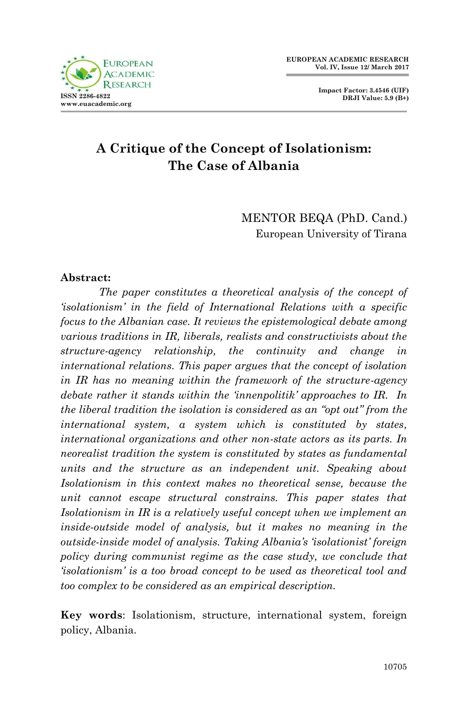**Impact Factor: 3.4546 (UIF) DRJI Value: 5.9 (B+)**

# **A Critique of the Concept of Isolationism: The Case of Albania**

MENTOR BEQA (PhD. Cand.) European University of Tirana

#### **Abstract:**

*The paper constitutes a theoretical analysis of the concept of "isolationism" in the field of International Relations with a specific focus to the Albanian case. It reviews the epistemological debate among various traditions in IR, liberals, realists and constructivists about the structure-agency relationship, the continuity and change in international relations. This paper argues that the concept of isolation in IR has no meaning within the framework of the structure-agency debate rather it stands within the "innenpolitik" approaches to IR. In the liberal tradition the isolation is considered as an "opt out" from the international system, a system which is constituted by states, international organizations and other non-state actors as its parts. In neorealist tradition the system is constituted by states as fundamental units and the structure as an independent unit. Speaking about Isolationism in this context makes no theoretical sense, because the unit cannot escape structural constrains. This paper states that Isolationism in IR is a relatively useful concept when we implement an inside-outside model of analysis, but it makes no meaning in the outside-inside model of analysis. Taking Albania"s "isolationist" foreign policy during communist regime as the case study, we conclude that "isolationism" is a too broad concept to be used as theoretical tool and too complex to be considered as an empirical description.* 

**Key words**: Isolationism, structure, international system, foreign policy, Albania.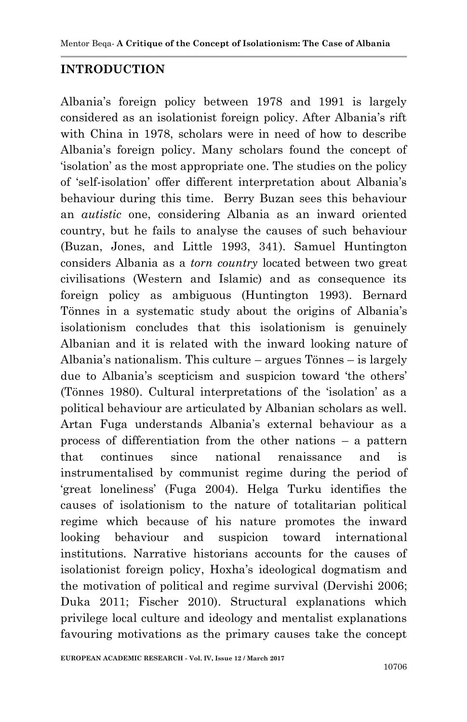### **INTRODUCTION**

Albania"s foreign policy between 1978 and 1991 is largely considered as an isolationist foreign policy. After Albania's rift with China in 1978, scholars were in need of how to describe Albania"s foreign policy. Many scholars found the concept of "isolation" as the most appropriate one. The studies on the policy of "self-isolation" offer different interpretation about Albania"s behaviour during this time. Berry Buzan sees this behaviour an *autistic* one, considering Albania as an inward oriented country, but he fails to analyse the causes of such behaviour (Buzan, Jones, and Little 1993, 341). Samuel Huntington considers Albania as a *torn country* located between two great civilisations (Western and Islamic) and as consequence its foreign policy as ambiguous (Huntington 1993). Bernard Tönnes in a systematic study about the origins of Albania"s isolationism concludes that this isolationism is genuinely Albanian and it is related with the inward looking nature of Albania"s nationalism. This culture – argues Tönnes – is largely due to Albania's scepticism and suspicion toward 'the others' (Tönnes 1980). Cultural interpretations of the "isolation" as a political behaviour are articulated by Albanian scholars as well. Artan Fuga understands Albania"s external behaviour as a process of differentiation from the other nations – a pattern that continues since national renaissance and is instrumentalised by communist regime during the period of "great loneliness" (Fuga 2004). Helga Turku identifies the causes of isolationism to the nature of totalitarian political regime which because of his nature promotes the inward looking behaviour and suspicion toward international institutions. Narrative historians accounts for the causes of isolationist foreign policy, Hoxha"s ideological dogmatism and the motivation of political and regime survival (Dervishi 2006; Duka 2011; Fischer 2010). Structural explanations which privilege local culture and ideology and mentalist explanations favouring motivations as the primary causes take the concept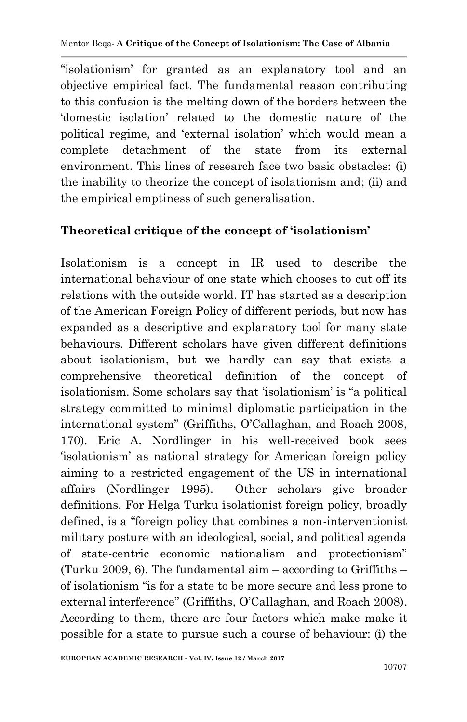"isolationism" for granted as an explanatory tool and an objective empirical fact. The fundamental reason contributing to this confusion is the melting down of the borders between the "domestic isolation" related to the domestic nature of the political regime, and "external isolation" which would mean a complete detachment of the state from its external environment. This lines of research face two basic obstacles: (i) the inability to theorize the concept of isolationism and; (ii) and the empirical emptiness of such generalisation.

### **Theoretical critique of the concept of 'isolationism'**

Isolationism is a concept in IR used to describe the international behaviour of one state which chooses to cut off its relations with the outside world. IT has started as a description of the American Foreign Policy of different periods, but now has expanded as a descriptive and explanatory tool for many state behaviours. Different scholars have given different definitions about isolationism, but we hardly can say that exists a comprehensive theoretical definition of the concept of isolationism. Some scholars say that "isolationism" is "a political strategy committed to minimal diplomatic participation in the international system" (Griffiths, O"Callaghan, and Roach 2008, 170). Eric A. Nordlinger in his well-received book sees "isolationism" as national strategy for American foreign policy aiming to a restricted engagement of the US in international affairs (Nordlinger 1995). Other scholars give broader definitions. For Helga Turku isolationist foreign policy, broadly defined, is a "foreign policy that combines a non-interventionist military posture with an ideological, social, and political agenda of state-centric economic nationalism and protectionism" (Turku 2009, 6). The fundamental aim  $-$  according to Griffiths  $$ of isolationism "is for a state to be more secure and less prone to external interference" (Griffiths, O'Callaghan, and Roach 2008). According to them, there are four factors which make make it possible for a state to pursue such a course of behaviour: (i) the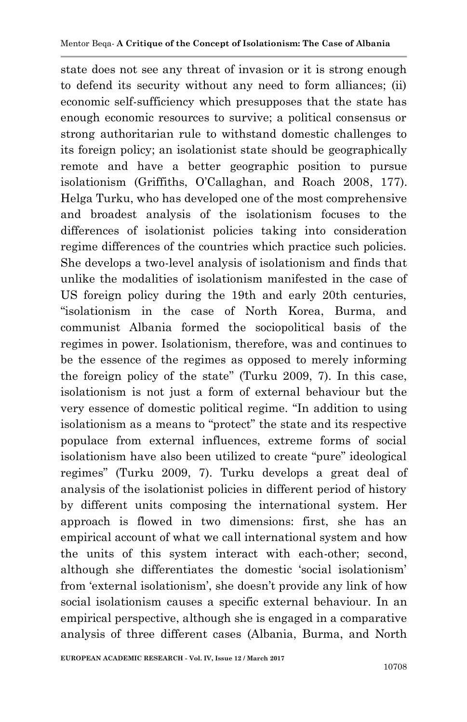state does not see any threat of invasion or it is strong enough to defend its security without any need to form alliances; (ii) economic self-sufficiency which presupposes that the state has enough economic resources to survive; a political consensus or strong authoritarian rule to withstand domestic challenges to its foreign policy; an isolationist state should be geographically remote and have a better geographic position to pursue isolationism (Griffiths, O"Callaghan, and Roach 2008, 177). Helga Turku, who has developed one of the most comprehensive and broadest analysis of the isolationism focuses to the differences of isolationist policies taking into consideration regime differences of the countries which practice such policies. She develops a two-level analysis of isolationism and finds that unlike the modalities of isolationism manifested in the case of US foreign policy during the 19th and early 20th centuries, "isolationism in the case of North Korea, Burma, and communist Albania formed the sociopolitical basis of the regimes in power. Isolationism, therefore, was and continues to be the essence of the regimes as opposed to merely informing the foreign policy of the state" (Turku 2009, 7). In this case, isolationism is not just a form of external behaviour but the very essence of domestic political regime. "In addition to using isolationism as a means to "protect" the state and its respective populace from external influences, extreme forms of social isolationism have also been utilized to create "pure" ideological regimes" (Turku 2009, 7). Turku develops a great deal of analysis of the isolationist policies in different period of history by different units composing the international system. Her approach is flowed in two dimensions: first, she has an empirical account of what we call international system and how the units of this system interact with each-other; second, although she differentiates the domestic "social isolationism" from "external isolationism", she doesn"t provide any link of how social isolationism causes a specific external behaviour. In an empirical perspective, although she is engaged in a comparative analysis of three different cases (Albania, Burma, and North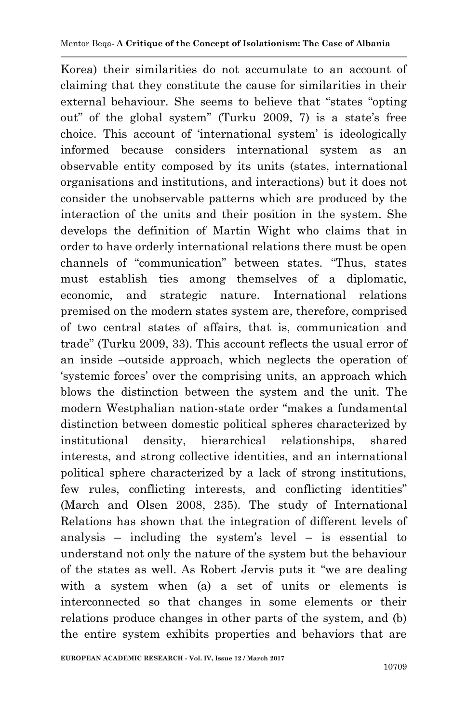Korea) their similarities do not accumulate to an account of claiming that they constitute the cause for similarities in their external behaviour. She seems to believe that "states "opting out" of the global system" (Turku 2009, 7) is a state's free choice. This account of "international system" is ideologically informed because considers international system as an observable entity composed by its units (states, international organisations and institutions, and interactions) but it does not consider the unobservable patterns which are produced by the interaction of the units and their position in the system. She develops the definition of Martin Wight who claims that in order to have orderly international relations there must be open channels of "communication" between states. "Thus, states must establish ties among themselves of a diplomatic, economic, and strategic nature. International relations premised on the modern states system are, therefore, comprised of two central states of affairs, that is, communication and trade" (Turku 2009, 33). This account reflects the usual error of an inside –outside approach, which neglects the operation of "systemic forces" over the comprising units, an approach which blows the distinction between the system and the unit. The modern Westphalian nation-state order "makes a fundamental distinction between domestic political spheres characterized by institutional density, hierarchical relationships, shared interests, and strong collective identities, and an international political sphere characterized by a lack of strong institutions, few rules, conflicting interests, and conflicting identities" (March and Olsen 2008, 235). The study of International Relations has shown that the integration of different levels of analysis – including the system's level – is essential to understand not only the nature of the system but the behaviour of the states as well. As Robert Jervis puts it "we are dealing with a system when (a) a set of units or elements is interconnected so that changes in some elements or their relations produce changes in other parts of the system, and (b) the entire system exhibits properties and behaviors that are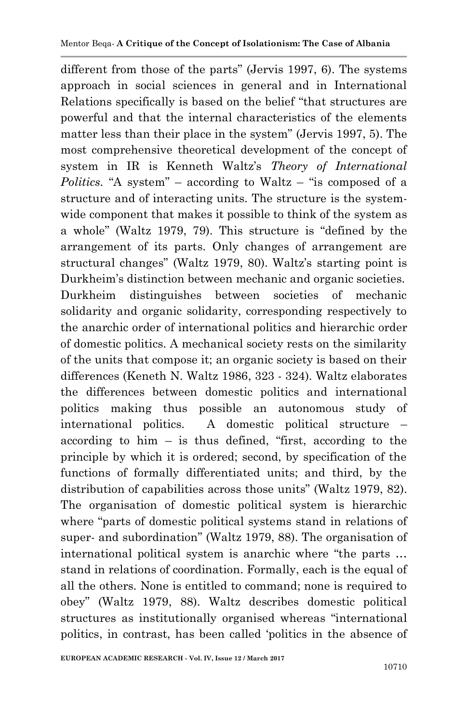different from those of the parts" (Jervis 1997, 6). The systems approach in social sciences in general and in International Relations specifically is based on the belief "that structures are powerful and that the internal characteristics of the elements matter less than their place in the system" (Jervis 1997, 5). The most comprehensive theoretical development of the concept of system in IR is Kenneth Waltz's *Theory of International Politics.* "A system" – according to Waltz – "is composed of a structure and of interacting units. The structure is the systemwide component that makes it possible to think of the system as a whole" (Waltz 1979, 79). This structure is "defined by the arrangement of its parts. Only changes of arrangement are structural changes" (Waltz 1979, 80). Waltz's starting point is Durkheim"s distinction between mechanic and organic societies. Durkheim distinguishes between societies of mechanic solidarity and organic solidarity, corresponding respectively to the anarchic order of international politics and hierarchic order of domestic politics. A mechanical society rests on the similarity of the units that compose it; an organic society is based on their differences (Keneth N. Waltz 1986, 323 - 324). Waltz elaborates the differences between domestic politics and international politics making thus possible an autonomous study of international politics. A domestic political structure – according to him – is thus defined, "first, according to the principle by which it is ordered; second, by specification of the functions of formally differentiated units; and third, by the distribution of capabilities across those units" (Waltz 1979, 82). The organisation of domestic political system is hierarchic where "parts of domestic political systems stand in relations of super- and subordination" (Waltz 1979, 88). The organisation of international political system is anarchic where "the parts … stand in relations of coordination. Formally, each is the equal of all the others. None is entitled to command; none is required to obey" (Waltz 1979, 88). Waltz describes domestic political structures as institutionally organised whereas "international politics, in contrast, has been called "politics in the absence of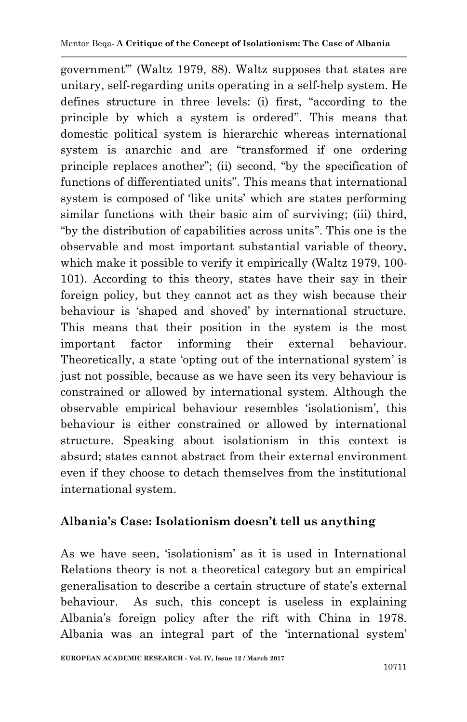government"" (Waltz 1979, 88). Waltz supposes that states are unitary, self-regarding units operating in a self-help system. He defines structure in three levels: (i) first, "according to the principle by which a system is ordered". This means that domestic political system is hierarchic whereas international system is anarchic and are "transformed if one ordering principle replaces another"; (ii) second, "by the specification of functions of differentiated units". This means that international system is composed of 'like units' which are states performing similar functions with their basic aim of surviving; (iii) third, "by the distribution of capabilities across units". This one is the observable and most important substantial variable of theory, which make it possible to verify it empirically (Waltz 1979, 100- 101). According to this theory, states have their say in their foreign policy, but they cannot act as they wish because their behaviour is "shaped and shoved" by international structure. This means that their position in the system is the most important factor informing their external behaviour. Theoretically, a state 'opting out of the international system' is just not possible, because as we have seen its very behaviour is constrained or allowed by international system. Although the observable empirical behaviour resembles "isolationism", this behaviour is either constrained or allowed by international structure. Speaking about isolationism in this context is absurd; states cannot abstract from their external environment even if they choose to detach themselves from the institutional international system.

### **Albania's Case: Isolationism doesn't tell us anything**

As we have seen, "isolationism" as it is used in International Relations theory is not a theoretical category but an empirical generalisation to describe a certain structure of state"s external behaviour. As such, this concept is useless in explaining Albania"s foreign policy after the rift with China in 1978. Albania was an integral part of the 'international system'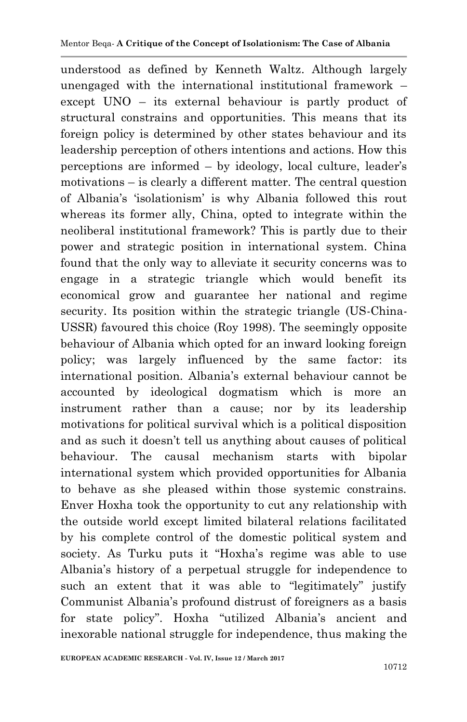understood as defined by Kenneth Waltz. Although largely unengaged with the international institutional framework – except UNO – its external behaviour is partly product of structural constrains and opportunities. This means that its foreign policy is determined by other states behaviour and its leadership perception of others intentions and actions. How this perceptions are informed – by ideology, local culture, leader"s motivations – is clearly a different matter. The central question of Albania"s "isolationism" is why Albania followed this rout whereas its former ally, China, opted to integrate within the neoliberal institutional framework? This is partly due to their power and strategic position in international system. China found that the only way to alleviate it security concerns was to engage in a strategic triangle which would benefit its economical grow and guarantee her national and regime security. Its position within the strategic triangle (US-China-USSR) favoured this choice (Roy 1998). The seemingly opposite behaviour of Albania which opted for an inward looking foreign policy; was largely influenced by the same factor: its international position. Albania"s external behaviour cannot be accounted by ideological dogmatism which is more an instrument rather than a cause; nor by its leadership motivations for political survival which is a political disposition and as such it doesn"t tell us anything about causes of political behaviour. The causal mechanism starts with bipolar international system which provided opportunities for Albania to behave as she pleased within those systemic constrains. Enver Hoxha took the opportunity to cut any relationship with the outside world except limited bilateral relations facilitated by his complete control of the domestic political system and society. As Turku puts it "Hoxha's regime was able to use Albania"s history of a perpetual struggle for independence to such an extent that it was able to "legitimately" justify Communist Albania"s profound distrust of foreigners as a basis for state policy". Hoxha "utilized Albania's ancient and inexorable national struggle for independence, thus making the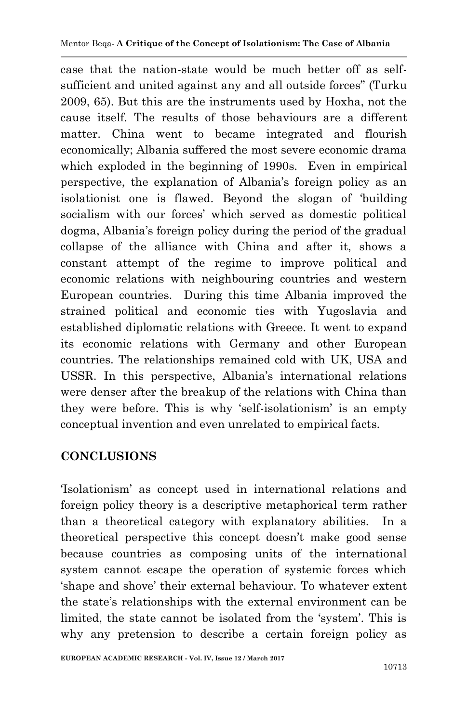case that the nation-state would be much better off as selfsufficient and united against any and all outside forces" (Turku 2009, 65). But this are the instruments used by Hoxha, not the cause itself. The results of those behaviours are a different matter. China went to became integrated and flourish economically; Albania suffered the most severe economic drama which exploded in the beginning of 1990s. Even in empirical perspective, the explanation of Albania"s foreign policy as an isolationist one is flawed. Beyond the slogan of "building socialism with our forces' which served as domestic political dogma, Albania's foreign policy during the period of the gradual collapse of the alliance with China and after it, shows a constant attempt of the regime to improve political and economic relations with neighbouring countries and western European countries. During this time Albania improved the strained political and economic ties with Yugoslavia and established diplomatic relations with Greece. It went to expand its economic relations with Germany and other European countries. The relationships remained cold with UK, USA and USSR. In this perspective, Albania"s international relations were denser after the breakup of the relations with China than they were before. This is why "self-isolationism" is an empty conceptual invention and even unrelated to empirical facts.

## **CONCLUSIONS**

"Isolationism" as concept used in international relations and foreign policy theory is a descriptive metaphorical term rather than a theoretical category with explanatory abilities. In a theoretical perspective this concept doesn"t make good sense because countries as composing units of the international system cannot escape the operation of systemic forces which "shape and shove" their external behaviour. To whatever extent the state"s relationships with the external environment can be limited, the state cannot be isolated from the "system". This is why any pretension to describe a certain foreign policy as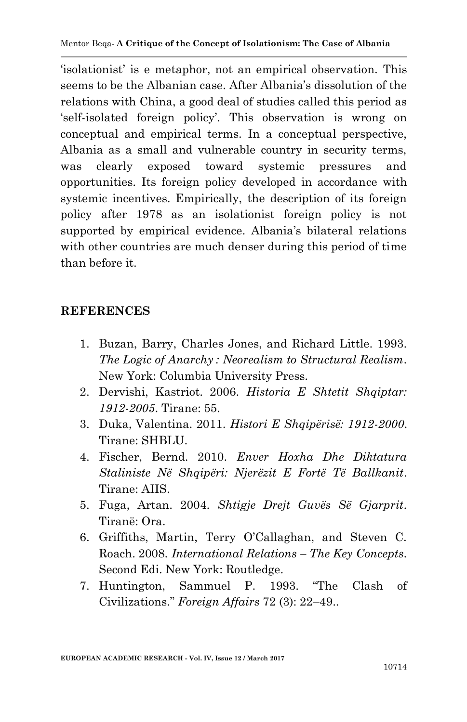"isolationist" is e metaphor, not an empirical observation. This seems to be the Albanian case. After Albania's dissolution of the relations with China, a good deal of studies called this period as self-isolated foreign policy'. This observation is wrong on conceptual and empirical terms. In a conceptual perspective, Albania as a small and vulnerable country in security terms, was clearly exposed toward systemic pressures and opportunities. Its foreign policy developed in accordance with systemic incentives. Empirically, the description of its foreign policy after 1978 as an isolationist foreign policy is not supported by empirical evidence. Albania's bilateral relations with other countries are much denser during this period of time than before it.

### **REFERENCES**

- 1. Buzan, Barry, Charles Jones, and Richard Little. 1993. *The Logic of Anarchy : Neorealism to Structural Realism*. New York: Columbia University Press.
- 2. Dervishi, Kastriot. 2006. *Historia E Shtetit Shqiptar: 1912-2005*. Tirane: 55.
- 3. Duka, Valentina. 2011. *Histori E Shqipërisë: 1912-2000*. Tirane: SHBLU.
- 4. Fischer, Bernd. 2010. *Enver Hoxha Dhe Diktatura Staliniste Në Shqipëri: Njerëzit E Fortë Të Ballkanit*. Tirane: AIIS.
- 5. Fuga, Artan. 2004. *Shtigje Drejt Guvës Së Gjarprit*. Tiranë: Ora.
- 6. Griffiths, Martin, Terry O"Callaghan, and Steven C. Roach. 2008. *International Relations – The Key Concepts*. Second Edi. New York: Routledge.
- 7. Huntington, Sammuel P. 1993. "The Clash of Civilizations." *Foreign Affairs* 72 (3): 22–49..